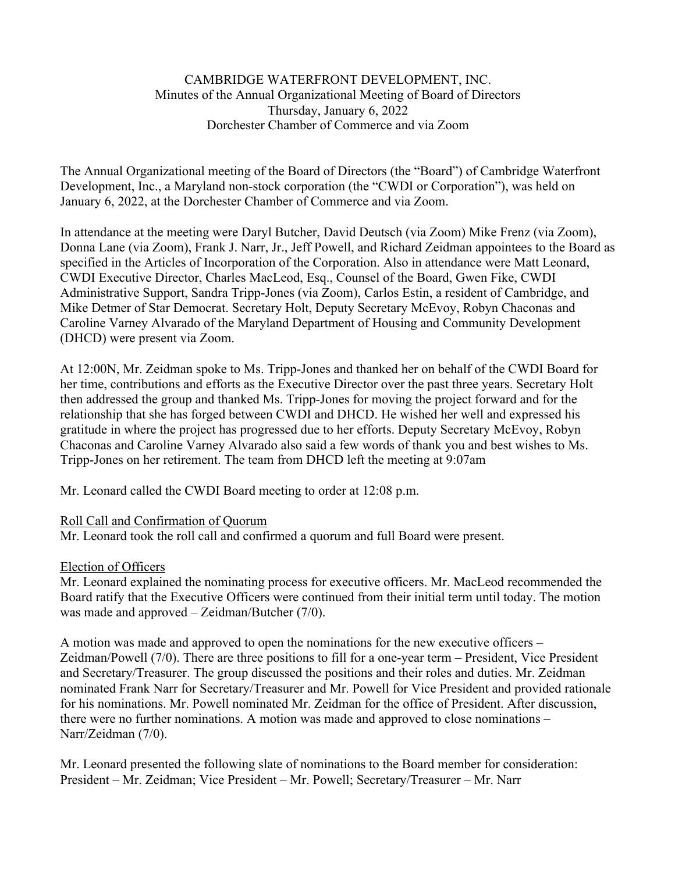## CAMBRIDGE WATERFRONT DEVELOPMENT, INC. Minutes of the Annual Organizational Meeting of Board of Directors Thursday, January 6, 2022 Dorchester Chamber of Commerce and via Zoom

The Annual Organizational meeting of the Board of Directors (the "Board") of Cambridge Waterfront Development, Inc., a Maryland non-stock corporation (the "CWDI or Corporation"), was held on January 6, 2022, at the Dorchester Chamber of Commerce and via Zoom.

In attendance at the meeting were Daryl Butcher, David Deutsch (via Zoom) Mike Frenz (via Zoom), Donna Lane (via Zoom), Frank J. Narr, Jr., Jeff Powell, and Richard Zeidman appointees to the Board as specified in the Articles of Incorporation of the Corporation. Also in attendance were Matt Leonard, CWDI Executive Director, Charles MacLeod, Esq., Counsel of the Board, Gwen Fike, CWDI Administrative Support, Sandra Tripp-Jones (via Zoom), Carlos Estin, a resident of Cambridge, and Mike Detmer of Star Democrat. Secretary Holt, Deputy Secretary McEvoy, Robyn Chaconas and Caroline Varney Alvarado of the Maryland Department of Housing and Community Development (DHCD) were present via Zoom.

At 12:00N, Mr. Zeidman spoke to Ms. Tripp-Jones and thanked her on behalf of the CWDI Board for her time, contributions and efforts as the Executive Director over the past three years. Secretary Holt then addressed the group and thanked Ms. Tripp-Jones for moving the project forward and for the relationship that she has forged between CWDI and DHCD. He wished her well and expressed his gratitude in where the project has progressed due to her efforts. Deputy Secretary McEvoy, Robyn Chaconas and Caroline Varney Alvarado also said a few words of thank you and best wishes to Ms. Tripp-Jones on her retirement. The team from DHCD left the meeting at 9:07am

Mr. Leonard called the CWDI Board meeting to order at 12:08 p.m.

# Roll Call and Confirmation of Quorum

Mr. Leonard took the roll call and confirmed a quorum and full Board were present.

# Election of Officers

Mr. Leonard explained the nominating process for executive officers. Mr. MacLeod recommended the Board ratify that the Executive Officers were continued from their initial term until today. The motion was made and approved – Zeidman/Butcher (7/0).

A motion was made and approved to open the nominations for the new executive officers – Zeidman/Powell (7/0). There are three positions to fill for a one-year term – President, Vice President and Secretary/Treasurer. The group discussed the positions and their roles and duties. Mr. Zeidman nominated Frank Narr for Secretary/Treasurer and Mr. Powell for Vice President and provided rationale for his nominations. Mr. Powell nominated Mr. Zeidman for the office of President. After discussion, there were no further nominations. A motion was made and approved to close nominations – Narr/Zeidman (7/0).

Mr. Leonard presented the following slate of nominations to the Board member for consideration: President – Mr. Zeidman; Vice President – Mr. Powell; Secretary/Treasurer – Mr. Narr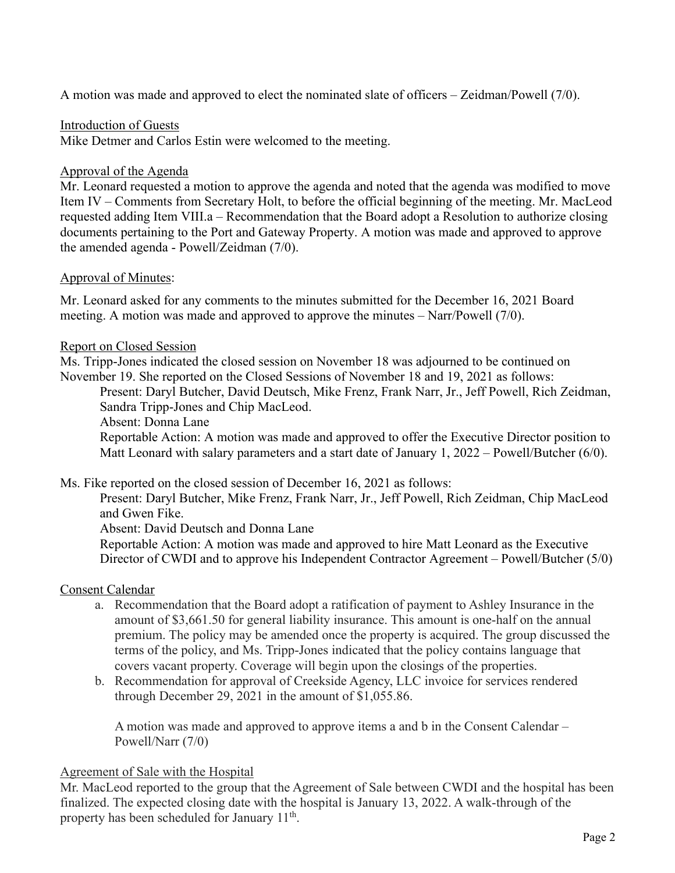A motion was made and approved to elect the nominated slate of officers – Zeidman/Powell (7/0).

## Introduction of Guests

Mike Detmer and Carlos Estin were welcomed to the meeting.

### Approval of the Agenda

Mr. Leonard requested a motion to approve the agenda and noted that the agenda was modified to move Item IV – Comments from Secretary Holt, to before the official beginning of the meeting. Mr. MacLeod requested adding Item VIII.a – Recommendation that the Board adopt a Resolution to authorize closing documents pertaining to the Port and Gateway Property. A motion was made and approved to approve the amended agenda - Powell/Zeidman (7/0).

### Approval of Minutes:

Mr. Leonard asked for any comments to the minutes submitted for the December 16, 2021 Board meeting. A motion was made and approved to approve the minutes – Narr/Powell (7/0).

### Report on Closed Session

Ms. Tripp-Jones indicated the closed session on November 18 was adjourned to be continued on November 19. She reported on the Closed Sessions of November 18 and 19, 2021 as follows:

Present: Daryl Butcher, David Deutsch, Mike Frenz, Frank Narr, Jr., Jeff Powell, Rich Zeidman, Sandra Tripp-Jones and Chip MacLeod.

Absent: Donna Lane

Reportable Action: A motion was made and approved to offer the Executive Director position to Matt Leonard with salary parameters and a start date of January 1, 2022 – Powell/Butcher (6/0).

#### Ms. Fike reported on the closed session of December 16, 2021 as follows:

Present: Daryl Butcher, Mike Frenz, Frank Narr, Jr., Jeff Powell, Rich Zeidman, Chip MacLeod and Gwen Fike.

Absent: David Deutsch and Donna Lane

Reportable Action: A motion was made and approved to hire Matt Leonard as the Executive Director of CWDI and to approve his Independent Contractor Agreement – Powell/Butcher (5/0)

#### Consent Calendar

- a. Recommendation that the Board adopt a ratification of payment to Ashley Insurance in the amount of \$3,661.50 for general liability insurance. This amount is one-half on the annual premium. The policy may be amended once the property is acquired. The group discussed the terms of the policy, and Ms. Tripp-Jones indicated that the policy contains language that covers vacant property. Coverage will begin upon the closings of the properties.
- b. Recommendation for approval of Creekside Agency, LLC invoice for services rendered through December 29, 2021 in the amount of \$1,055.86.

A motion was made and approved to approve items a and b in the Consent Calendar – Powell/Narr (7/0)

## Agreement of Sale with the Hospital

Mr. MacLeod reported to the group that the Agreement of Sale between CWDI and the hospital has been finalized. The expected closing date with the hospital is January 13, 2022. A walk-through of the property has been scheduled for January 11<sup>th</sup>.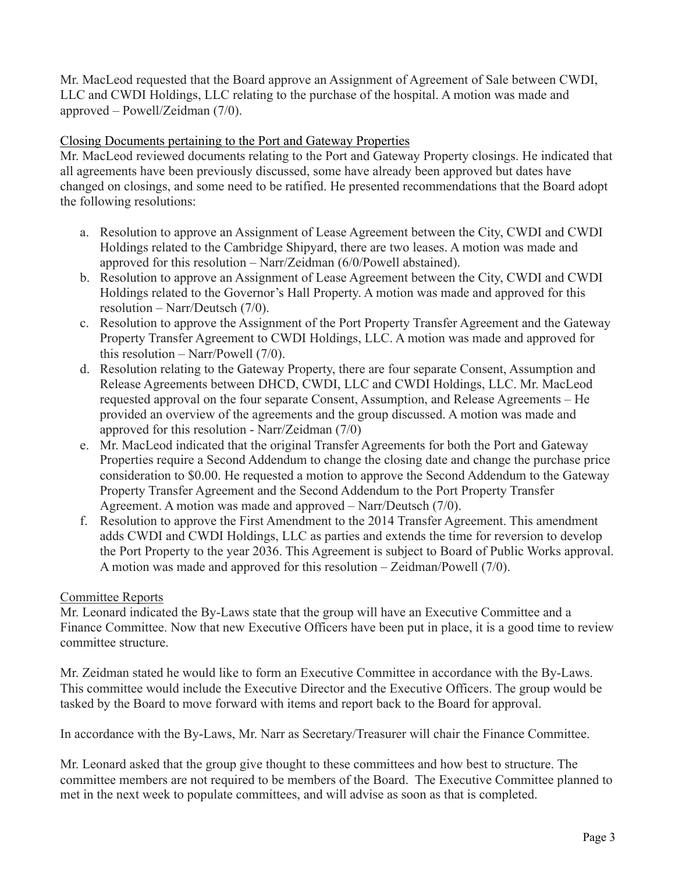Mr. MacLeod requested that the Board approve an Assignment of Agreement of Sale between CWDI, LLC and CWDI Holdings, LLC relating to the purchase of the hospital. A motion was made and approved – Powell/Zeidman (7/0).

# Closing Documents pertaining to the Port and Gateway Properties

Mr. MacLeod reviewed documents relating to the Port and Gateway Property closings. He indicated that all agreements have been previously discussed, some have already been approved but dates have changed on closings, and some need to be ratified. He presented recommendations that the Board adopt the following resolutions:

- a. Resolution to approve an Assignment of Lease Agreement between the City, CWDI and CWDI Holdings related to the Cambridge Shipyard, there are two leases. A motion was made and approved for this resolution – Narr/Zeidman (6/0/Powell abstained).
- b. Resolution to approve an Assignment of Lease Agreement between the City, CWDI and CWDI Holdings related to the Governor's Hall Property. A motion was made and approved for this resolution – Narr/Deutsch (7/0).
- c. Resolution to approve the Assignment of the Port Property Transfer Agreement and the Gateway Property Transfer Agreement to CWDI Holdings, LLC. A motion was made and approved for this resolution – Narr/Powell (7/0).
- d. Resolution relating to the Gateway Property, there are four separate Consent, Assumption and Release Agreements between DHCD, CWDI, LLC and CWDI Holdings, LLC. Mr. MacLeod requested approval on the four separate Consent, Assumption, and Release Agreements – He provided an overview of the agreements and the group discussed. A motion was made and approved for this resolution - Narr/Zeidman (7/0)
- e. Mr. MacLeod indicated that the original Transfer Agreements for both the Port and Gateway Properties require a Second Addendum to change the closing date and change the purchase price consideration to \$0.00. He requested a motion to approve the Second Addendum to the Gateway Property Transfer Agreement and the Second Addendum to the Port Property Transfer Agreement. A motion was made and approved – Narr/Deutsch (7/0).
- f. Resolution to approve the First Amendment to the 2014 Transfer Agreement. This amendment adds CWDI and CWDI Holdings, LLC as parties and extends the time for reversion to develop the Port Property to the year 2036. This Agreement is subject to Board of Public Works approval. A motion was made and approved for this resolution – Zeidman/Powell (7/0).

# Committee Reports

Mr. Leonard indicated the By-Laws state that the group will have an Executive Committee and a Finance Committee. Now that new Executive Officers have been put in place, it is a good time to review committee structure.

Mr. Zeidman stated he would like to form an Executive Committee in accordance with the By-Laws. This committee would include the Executive Director and the Executive Officers. The group would be tasked by the Board to move forward with items and report back to the Board for approval.

In accordance with the By-Laws, Mr. Narr as Secretary/Treasurer will chair the Finance Committee.

Mr. Leonard asked that the group give thought to these committees and how best to structure. The committee members are not required to be members of the Board. The Executive Committee planned to met in the next week to populate committees, and will advise as soon as that is completed.